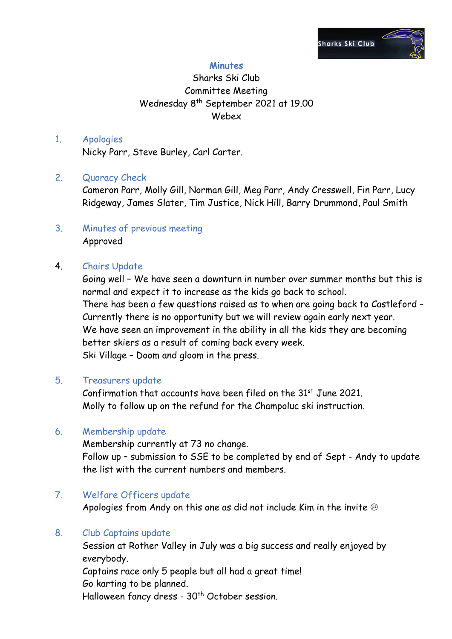

### **Minutes**

## Sharks Ski Club Committee Meeting Wednesday 8th September 2021 at 19.00 Webex

# 1. Apologies

Nicky Parr, Steve Burley, Carl Carter.

#### 2. Quoracy Check

Cameron Parr, Molly Gill, Norman Gill, Meg Parr, Andy Cresswell, Fin Parr, Lucy Ridgeway, James Slater, Tim Justice, Nick Hill, Barry Drummond, Paul Smith

#### 3. Minutes of previous meeting Approved

#### 4. Chairs Update

Going well – We have seen a downturn in number over summer months but this is normal and expect it to increase as the kids go back to school. There has been a few questions raised as to when are going back to Castleford – Currently there is no opportunity but we will review again early next year. We have seen an improvement in the ability in all the kids they are becoming better skiers as a result of coming back every week. Ski Village – Doom and gloom in the press.

#### 5. Treasurers update

Confirmation that accounts have been filed on the  $31<sup>st</sup>$  June 2021. Molly to follow up on the refund for the Champoluc ski instruction.

#### 6. Membership update

Membership currently at 73 no change. Follow up – submission to SSE to be completed by end of Sept - Andy to update the list with the current numbers and members.

#### 7. Welfare Officers update

Apologies from Andy on this one as did not include Kim in the invite  $\circledcirc$ 

#### 8. Club Captains update

Session at Rother Valley in July was a big success and really enjoyed by everybody. Captains race only 5 people but all had a great time! Go karting to be planned. Halloween fancy dress - 30<sup>th</sup> October session.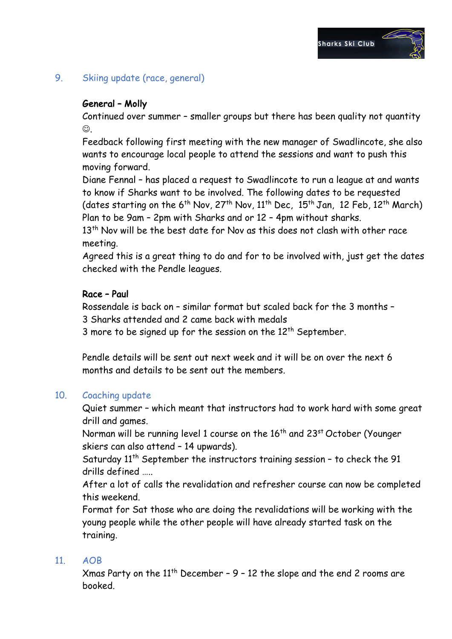## 9. Skiing update (race, general)

## General – Molly

Continued over summer – smaller groups but there has been quality not quantity  $\odot$ .

Feedback following first meeting with the new manager of Swadlincote, she also wants to encourage local people to attend the sessions and want to push this moving forward.

Diane Fennal – has placed a request to Swadlincote to run a league at and wants to know if Sharks want to be involved. The following dates to be requested (dates starting on the  $6^{th}$  Nov,  $27^{th}$  Nov,  $11^{th}$  Dec,  $15^{th}$  Jan,  $12$  Feb,  $12^{th}$  March) Plan to be 9am – 2pm with Sharks and or 12 – 4pm without sharks.

13<sup>th</sup> Nov will be the best date for Nov as this does not clash with other race meeting.

Agreed this is a great thing to do and for to be involved with, just get the dates checked with the Pendle leagues.

#### Race – Paul

Rossendale is back on – similar format but scaled back for the 3 months – 3 Sharks attended and 2 came back with medals

3 more to be signed up for the session on the  $12^{th}$  September.

Pendle details will be sent out next week and it will be on over the next 6 months and details to be sent out the members.

#### 10. Coaching update

Quiet summer – which meant that instructors had to work hard with some great drill and games.

Norman will be running level 1 course on the 16<sup>th</sup> and 23<sup>st</sup> October (Younger skiers can also attend – 14 upwards).

Saturday 11<sup>th</sup> September the instructors training session - to check the 91 drills defined …..

After a lot of calls the revalidation and refresher course can now be completed this weekend.

Format for Sat those who are doing the revalidations will be working with the young people while the other people will have already started task on the training.

#### 11. AOB

Xmas Party on the  $11^{th}$  December - 9 - 12 the slope and the end 2 rooms are booked.